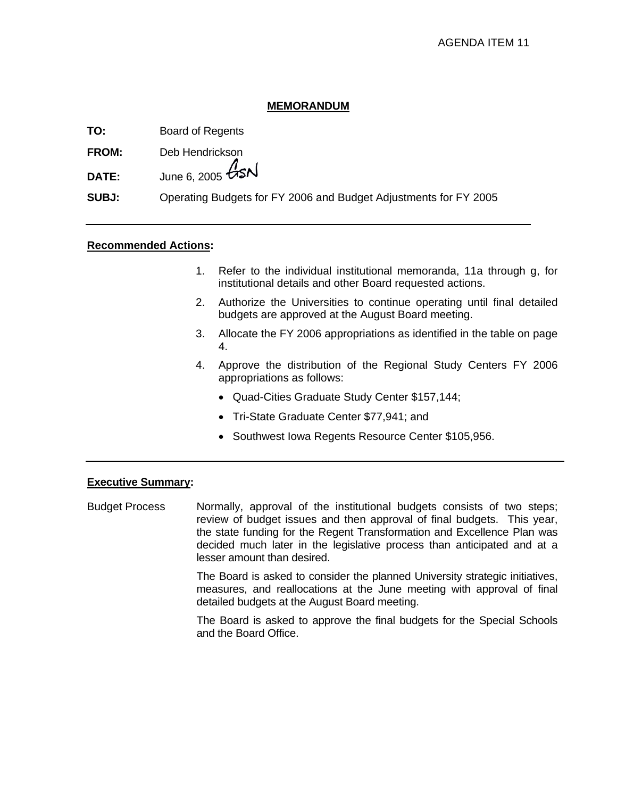### **MEMORANDUM**

**TO:** Board of Regents

**FROM:** Deb Hendrickson

**DATE:** June 6, 2005  $\cancel{G}$ SN

**SUBJ:** Operating Budgets for FY 2006 and Budget Adjustments for FY 2005

### **Recommended Actions:**

- 1. Refer to the individual institutional memoranda, 11a through g, for institutional details and other Board requested actions.
- 2. Authorize the Universities to continue operating until final detailed budgets are approved at the August Board meeting.
- 3. Allocate the FY 2006 appropriations as identified in the table on page 4.
- 4. Approve the distribution of the Regional Study Centers FY 2006 appropriations as follows:
	- Quad-Cities Graduate Study Center \$157,144;
	- Tri-State Graduate Center \$77,941; and
	- Southwest Iowa Regents Resource Center \$105,956.

### **Executive Summary:**

Budget Process Normally, approval of the institutional budgets consists of two steps; review of budget issues and then approval of final budgets. This year, the state funding for the Regent Transformation and Excellence Plan was decided much later in the legislative process than anticipated and at a lesser amount than desired.

> The Board is asked to consider the planned University strategic initiatives, measures, and reallocations at the June meeting with approval of final detailed budgets at the August Board meeting.

> The Board is asked to approve the final budgets for the Special Schools and the Board Office.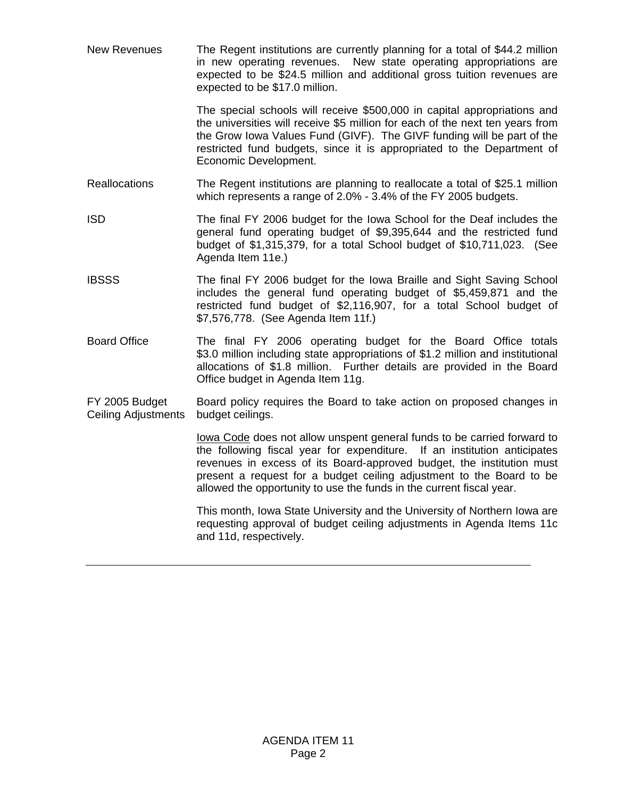New Revenues The Regent institutions are currently planning for a total of \$44.2 million in new operating revenues. New state operating appropriations are expected to be \$24.5 million and additional gross tuition revenues are expected to be \$17.0 million.

> The special schools will receive \$500,000 in capital appropriations and the universities will receive \$5 million for each of the next ten years from the Grow Iowa Values Fund (GIVF). The GIVF funding will be part of the restricted fund budgets, since it is appropriated to the Department of Economic Development.

- Reallocations The Regent institutions are planning to reallocate a total of \$25.1 million which represents a range of 2.0% - 3.4% of the FY 2005 budgets.
- ISD The final FY 2006 budget for the Iowa School for the Deaf includes the general fund operating budget of \$9,395,644 and the restricted fund budget of \$1,315,379, for a total School budget of \$10,711,023. (See Agenda Item 11e.)
- IBSSS The final FY 2006 budget for the Iowa Braille and Sight Saving School includes the general fund operating budget of \$5,459,871 and the restricted fund budget of \$2,116,907, for a total School budget of \$7,576,778. (See Agenda Item 11f.)
- Board Office The final FY 2006 operating budget for the Board Office totals \$3.0 million including state appropriations of \$1.2 million and institutional allocations of \$1.8 million. Further details are provided in the Board Office budget in Agenda Item 11g.
- FY 2005 Budget Ceiling Adjustments Board policy requires the Board to take action on proposed changes in budget ceilings.

lowa Code does not allow unspent general funds to be carried forward to the following fiscal year for expenditure. If an institution anticipates revenues in excess of its Board-approved budget, the institution must present a request for a budget ceiling adjustment to the Board to be allowed the opportunity to use the funds in the current fiscal year.

 This month, Iowa State University and the University of Northern Iowa are requesting approval of budget ceiling adjustments in Agenda Items 11c and 11d, respectively.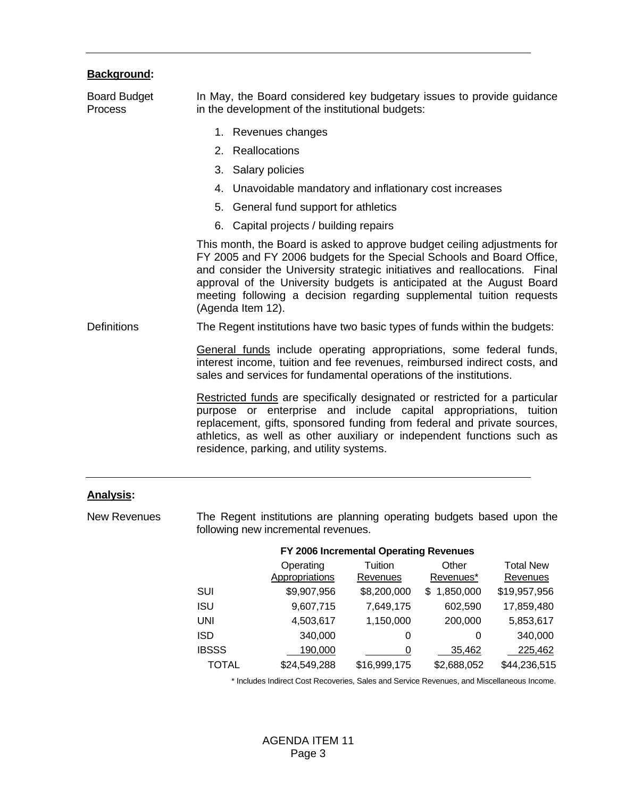|  | <b>Background:</b> |  |
|--|--------------------|--|
|  |                    |  |

| <b>Board Budget</b><br><b>Process</b> | In May, the Board considered key budgetary issues to provide guidance<br>in the development of the institutional budgets:                                                                                                                                                                                                                                                                             |  |
|---------------------------------------|-------------------------------------------------------------------------------------------------------------------------------------------------------------------------------------------------------------------------------------------------------------------------------------------------------------------------------------------------------------------------------------------------------|--|
|                                       | 1. Revenues changes                                                                                                                                                                                                                                                                                                                                                                                   |  |
|                                       | 2. Reallocations                                                                                                                                                                                                                                                                                                                                                                                      |  |
|                                       | 3. Salary policies                                                                                                                                                                                                                                                                                                                                                                                    |  |
|                                       | 4. Unavoidable mandatory and inflationary cost increases                                                                                                                                                                                                                                                                                                                                              |  |
|                                       | 5. General fund support for athletics                                                                                                                                                                                                                                                                                                                                                                 |  |
|                                       | 6. Capital projects / building repairs                                                                                                                                                                                                                                                                                                                                                                |  |
|                                       | This month, the Board is asked to approve budget ceiling adjustments for<br>FY 2005 and FY 2006 budgets for the Special Schools and Board Office,<br>and consider the University strategic initiatives and reallocations. Final<br>approval of the University budgets is anticipated at the August Board<br>meeting following a decision regarding supplemental tuition requests<br>(Agenda Item 12). |  |
| <b>Definitions</b>                    | The Regent institutions have two basic types of funds within the budgets:                                                                                                                                                                                                                                                                                                                             |  |
|                                       | General funds include operating appropriations, some federal funds,<br>interest income, tuition and fee revenues, reimbursed indirect costs, and<br>sales and services for fundamental operations of the institutions.                                                                                                                                                                                |  |
|                                       | Restricted funds are specifically designated or restricted for a particular<br>purpose or enterprise and include capital appropriations, tuition<br>replacement, gifts, sponsored funding from federal and private sources,<br>athletics, as well as other auxiliary or independent functions such as<br>residence, parking, and utility systems.                                                     |  |

### **Analysis:**

New Revenues The Regent institutions are planning operating budgets based upon the following new incremental revenues.

|              |                                    | FY 2006 Incremental Operating Revenues |                    |                              |
|--------------|------------------------------------|----------------------------------------|--------------------|------------------------------|
|              | Operating<br><b>Appropriations</b> | Tuition<br>Revenues                    | Other<br>Revenues* | <b>Total New</b><br>Revenues |
| SUI          | \$9,907,956                        | \$8,200,000                            | 1,850,000<br>S.    | \$19,957,956                 |
| <b>ISU</b>   | 9,607,715                          | 7,649,175                              | 602,590            | 17,859,480                   |
| UNI          | 4,503,617                          | 1,150,000                              | 200,000            | 5,853,617                    |
| ISD          | 340,000                            | 0                                      | 0                  | 340,000                      |
| <b>IBSSS</b> | 190,000                            | 0                                      | 35,462             | 225,462                      |
| <b>TOTAL</b> | \$24,549,288                       | \$16,999,175                           | \$2,688,052        | \$44,236,515                 |

\* Includes Indirect Cost Recoveries, Sales and Service Revenues, and Miscellaneous Income.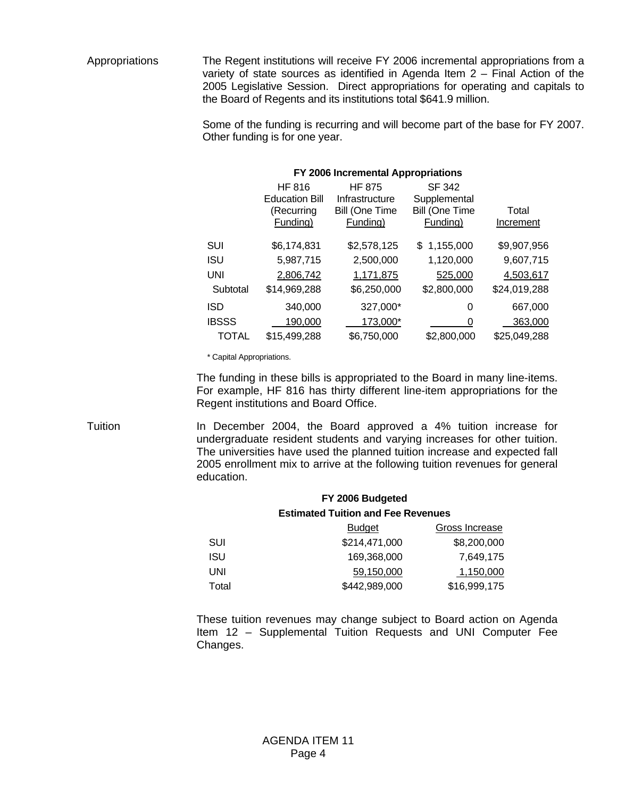Appropriations The Regent institutions will receive FY 2006 incremental appropriations from a variety of state sources as identified in Agenda Item 2 – Final Action of the 2005 Legislative Session. Direct appropriations for operating and capitals to the Board of Regents and its institutions total \$641.9 million.

> Some of the funding is recurring and will become part of the base for FY 2007. Other funding is for one year.

| FY 2006 Incremental Appropriations |                       |                |                       |              |
|------------------------------------|-----------------------|----------------|-----------------------|--------------|
|                                    | HF 816                | <b>HF 875</b>  | <b>SF 342</b>         |              |
|                                    | <b>Education Bill</b> | Infrastructure | Supplemental          |              |
|                                    | (Recurring            | Bill (One Time | <b>Bill (One Time</b> | Total        |
|                                    | Funding)              | Funding)       | Funding)              | Increment    |
| SUI                                | \$6,174,831           | \$2,578,125    | \$1,155,000           | \$9,907,956  |
| <b>ISU</b>                         | 5,987,715             | 2,500,000      | 1,120,000             | 9,607,715    |
| <b>UNI</b>                         | 2,806,742             | 1,171,875      | 525,000               | 4,503,617    |
| Subtotal                           | \$14,969,288          | \$6,250,000    | \$2,800,000           | \$24,019,288 |
| <b>ISD</b>                         | 340,000               | 327,000*       | 0                     | 667,000      |
| <b>IBSSS</b>                       | 190,000               | 173,000*       | 0                     | 363,000      |
| TOTAL                              | \$15,499,288          | \$6,750,000    | \$2,800,000           | \$25,049,288 |

\* Capital Appropriations.

 The funding in these bills is appropriated to the Board in many line-items. For example, HF 816 has thirty different line-item appropriations for the Regent institutions and Board Office.

Tuition **In December 2004, the Board approved a 4% tuition increase for** undergraduate resident students and varying increases for other tuition. The universities have used the planned tuition increase and expected fall 2005 enrollment mix to arrive at the following tuition revenues for general education.

# **FY 2006 Budgeted Estimated Tuition and Fee Revenues**  Budget Gross Increase SUI \$214,471,000 \$8,200,000 ISU 169,368,000 7,649,175 UNI 59,150,000 1,150,000

Total \$442,989,000 \$16,999,175

 These tuition revenues may change subject to Board action on Agenda Item 12 – Supplemental Tuition Requests and UNI Computer Fee Changes.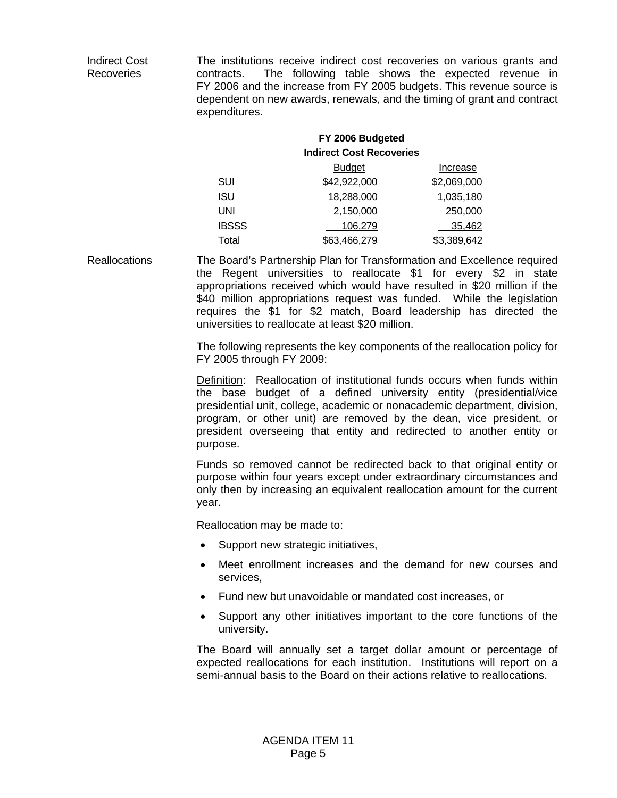Indirect Cost Recoveries The institutions receive indirect cost recoveries on various grants and contracts. The following table shows the expected revenue in FY 2006 and the increase from FY 2005 budgets. This revenue source is dependent on new awards, renewals, and the timing of grant and contract expenditures.

## **FY 2006 Budgeted Indirect Cost Recoveries**  Budget **Increase** SUI \$42,922,000 \$2,069,000 ISU 18,288,000 1,035,180 UNI 2,150,000 250,000 IBSSS 106,279 35,462 Total \$63,466,279 \$3,389,642

Reallocations The Board's Partnership Plan for Transformation and Excellence required the Regent universities to reallocate \$1 for every \$2 in state appropriations received which would have resulted in \$20 million if the \$40 million appropriations request was funded. While the legislation requires the \$1 for \$2 match, Board leadership has directed the universities to reallocate at least \$20 million.

> The following represents the key components of the reallocation policy for FY 2005 through FY 2009:

> Definition: Reallocation of institutional funds occurs when funds within the base budget of a defined university entity (presidential/vice presidential unit, college, academic or nonacademic department, division, program, or other unit) are removed by the dean, vice president, or president overseeing that entity and redirected to another entity or purpose.

> Funds so removed cannot be redirected back to that original entity or purpose within four years except under extraordinary circumstances and only then by increasing an equivalent reallocation amount for the current year.

Reallocation may be made to:

- Support new strategic initiatives,
- Meet enrollment increases and the demand for new courses and services,
- Fund new but unavoidable or mandated cost increases, or
- Support any other initiatives important to the core functions of the university.

The Board will annually set a target dollar amount or percentage of expected reallocations for each institution. Institutions will report on a semi-annual basis to the Board on their actions relative to reallocations.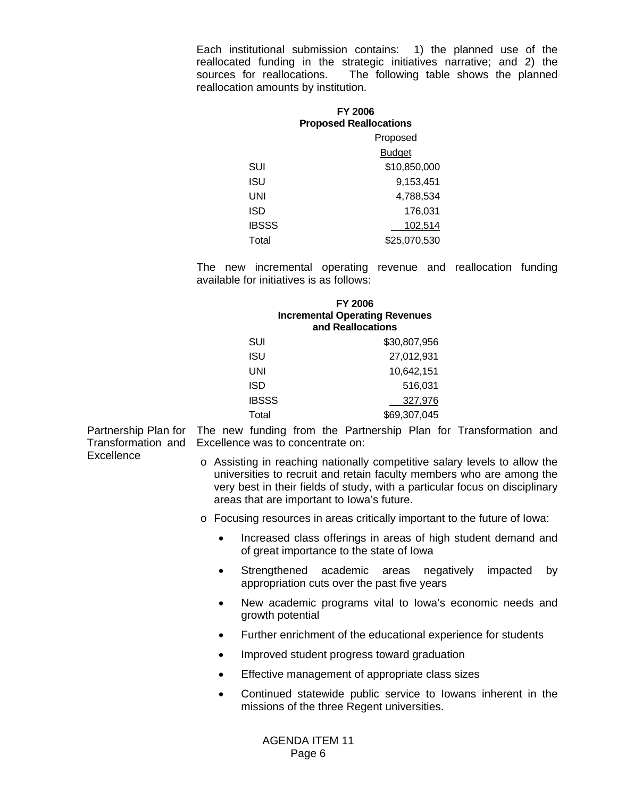Each institutional submission contains: 1) the planned use of the reallocated funding in the strategic initiatives narrative; and 2) the sources for reallocations. The following table shows the planned The following table shows the planned reallocation amounts by institution.

|              | <b>FY 2006</b><br><b>Proposed Reallocations</b> |
|--------------|-------------------------------------------------|
|              | Proposed                                        |
|              | <b>Budget</b>                                   |
| SUI          | \$10,850,000                                    |
| ISU          | 9,153,451                                       |
| UNI          | 4,788,534                                       |
| ISD          | 176.031                                         |
| <b>IBSSS</b> | 102.514                                         |
| Total        | \$25,070,530                                    |

 The new incremental operating revenue and reallocation funding available for initiatives is as follows:

|              | <b>FY 2006</b><br><b>Incremental Operating Revenues</b><br>and Reallocations |
|--------------|------------------------------------------------------------------------------|
| SUI          | \$30,807,956                                                                 |
| <b>ISU</b>   | 27,012,931                                                                   |
| UNI          | 10,642,151                                                                   |
| ISD          | 516,031                                                                      |
| <b>IBSSS</b> | 327,976                                                                      |
| Total        | \$69,307,045                                                                 |

Partnership Plan for The new funding from the Partnership Plan for Transformation and Transformation and **Excellence** Excellence was to concentrate on:

- o Assisting in reaching nationally competitive salary levels to allow the universities to recruit and retain faculty members who are among the very best in their fields of study, with a particular focus on disciplinary areas that are important to Iowa's future.
- o Focusing resources in areas critically important to the future of Iowa:
	- Increased class offerings in areas of high student demand and of great importance to the state of Iowa
	- Strengthened academic areas negatively impacted by appropriation cuts over the past five years
	- New academic programs vital to Iowa's economic needs and growth potential
	- Further enrichment of the educational experience for students
	- Improved student progress toward graduation
	- Effective management of appropriate class sizes
	- Continued statewide public service to Iowans inherent in the missions of the three Regent universities.